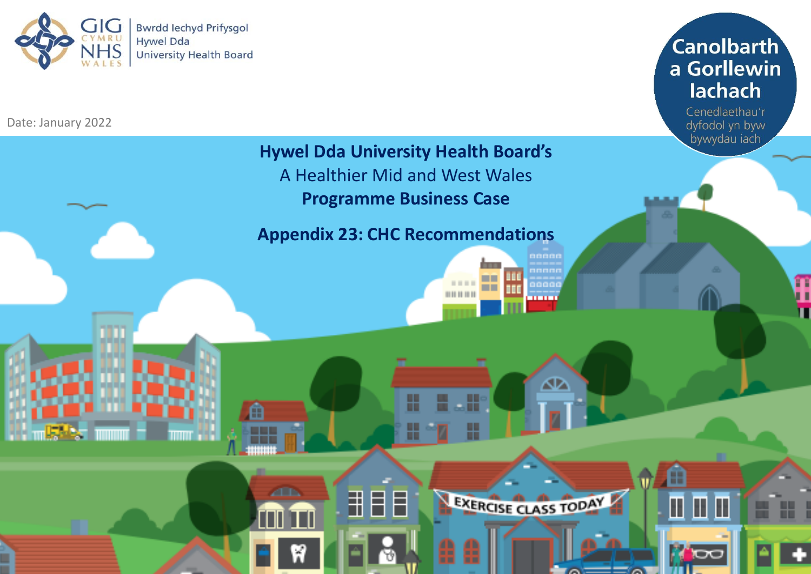

Date: January 2022



Cenedlaethau'r dyfodol yn byw bywydau iach

œ

Π

ππ

m

## **Hywel Dda University Health Board's** A Healthier Mid and West Wales

**Programme Business Case**

**Appendix 23: CHC Recommendations**

ਜ

8

å

T

- 11

88880

∕⊕

EXERCISE CLASS TODAY

**THEFT** 

001010101

Œ

**1968** 

m

**ZED** 

Ш

욃

TM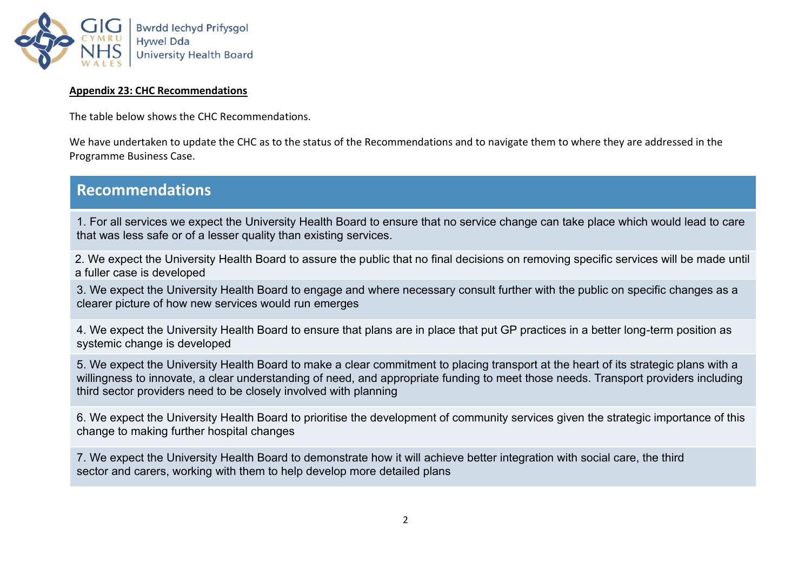

## **Appendix 23: CHC Recommendations**

The table below shows the CHC Recommendations.

We have undertaken to update the CHC as to the status of the Recommendations and to navigate them to where they are addressed in the Programme Business Case.

## **Recommendations**

1. For all services we expect the University Health Board to ensure that no service change can take place which would lead to care that was less safe or of a lesser quality than existing services.

2. We expect the University Health Board to assure the public that no final decisions on removing specific services will be made until a fuller case is developed

3. We expect the University Health Board to engage and where necessary consult further with the public on specific changes as a clearer picture of how new services would run emerges

4. We expect the University Health Board to ensure that plans are in place that put GP practices in a better long-term position as systemic change is developed

5. We expect the University Health Board to make a clear commitment to placing transport at the heart of its strategic plans with a willingness to innovate, a clear understanding of need, and appropriate funding to meet those needs. Transport providers including third sector providers need to be closely involved with planning

6. We expect the University Health Board to prioritise the development of community services given the strategic importance of this change to making further hospital changes

7. We expect the University Health Board to demonstrate how it will achieve better integration with social care, the third sector and carers, working with them to help develop more detailed plans